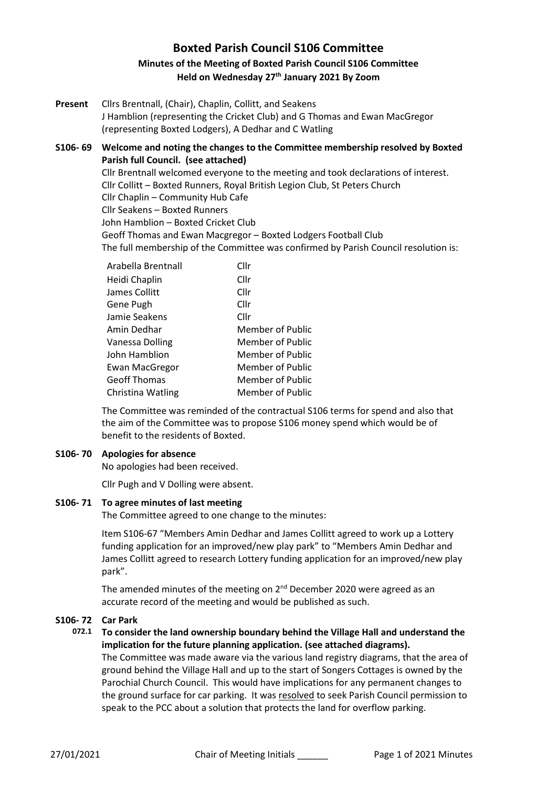# **Boxted Parish Council S106 Committee Minutes of the Meeting of Boxted Parish Council S106 Committee Held on Wednesday 27th January 2021 By Zoom**

**Present** Cllrs Brentnall, (Chair), Chaplin, Collitt, and Seakens J Hamblion (representing the Cricket Club) and G Thomas and Ewan MacGregor (representing Boxted Lodgers), A Dedhar and C Watling

**S106- 69 Welcome and noting the changes to the Committee membership resolved by Boxted Parish full Council. (see attached)** Cllr Brentnall welcomed everyone to the meeting and took declarations of interest. Cllr Collitt – Boxted Runners, Royal British Legion Club, St Peters Church Cllr Chaplin – Community Hub Cafe Cllr Seakens – Boxted Runners John Hamblion – Boxted Cricket Club Geoff Thomas and Ewan Macgregor – Boxted Lodgers Football Club The full membership of the Committee was confirmed by Parish Council resolution is:

| Arabella Brentnall    | Cllr                    |
|-----------------------|-------------------------|
| Heidi Chaplin         | Cllr                    |
| James Collitt         | Cllr                    |
| Gene Pugh             | Cllr                    |
| Jamie Seakens         | Cllr                    |
| Amin Dedhar           | <b>Member of Public</b> |
| Vanessa Dolling       | <b>Member of Public</b> |
| John Hamblion         | Member of Public        |
| <b>Ewan MacGregor</b> | Member of Public        |
| <b>Geoff Thomas</b>   | Member of Public        |
| Christina Watling     | <b>Member of Public</b> |

The Committee was reminded of the contractual S106 terms for spend and also that the aim of the Committee was to propose S106 money spend which would be of benefit to the residents of Boxted.

#### **S106- 70 Apologies for absence**

No apologies had been received.

Cllr Pugh and V Dolling were absent.

### **S106- 71 To agree minutes of last meeting**

The Committee agreed to one change to the minutes:

Item S106-67 "Members Amin Dedhar and James Collitt agreed to work up a Lottery funding application for an improved/new play park" to "Members Amin Dedhar and James Collitt agreed to research Lottery funding application for an improved/new play park".

The amended minutes of the meeting on 2<sup>nd</sup> December 2020 were agreed as an accurate record of the meeting and would be published as such.

#### **S106- 72 Car Park**

# **072.1 To consider the land ownership boundary behind the Village Hall and understand the implication for the future planning application. (see attached diagrams).**

The Committee was made aware via the various land registry diagrams, that the area of ground behind the Village Hall and up to the start of Songers Cottages is owned by the Parochial Church Council. This would have implications for any permanent changes to the ground surface for car parking. It was resolved to seek Parish Council permission to speak to the PCC about a solution that protects the land for overflow parking.